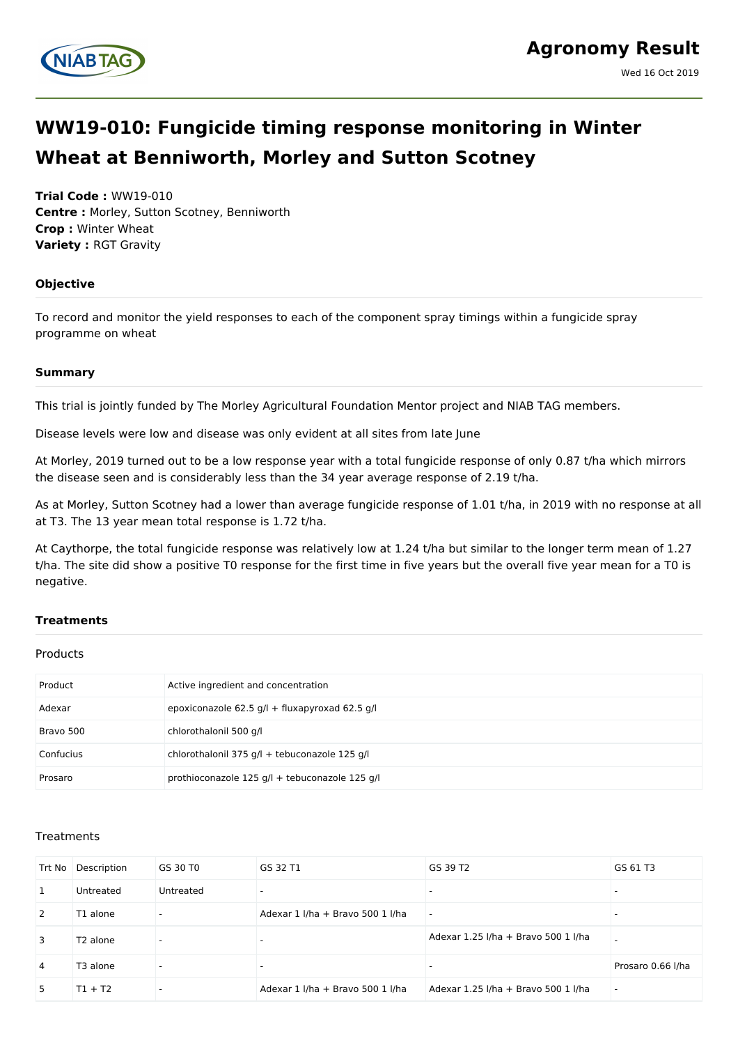

# **WW19-010: Fungicide timing response monitoring in Winter Wheat at Benniworth, Morley and Sutton Scotney**

**Trial Code :** WW19-010 **Centre :** Morley, Sutton Scotney, Benniworth **Crop :** Winter Wheat **Variety :** RGT Gravity

#### **Objective**

To record and monitor the yield responses to each of the component spray timings within a fungicide spray programme on wheat

#### **Summary**

This trial is jointly funded by The Morley Agricultural Foundation Mentor project and NIAB TAG members.

Disease levels were low and disease was only evident at all sites from late June

At Morley, 2019 turned out to be a low response year with a total fungicide response of only 0.87 t/ha which mirrors the disease seen and is considerably less than the 34 year average response of 2.19 t/ha.

As at Morley, Sutton Scotney had a lower than average fungicide response of 1.01 t/ha, in 2019 with no response at all at T3. The 13 year mean total response is 1.72 t/ha.

At Caythorpe, the total fungicide response was relatively low at 1.24 t/ha but similar to the longer term mean of 1.27 t/ha. The site did show a positive T0 response for the first time in five years but the overall five year mean for a T0 is negative.

## **Treatments**

#### Products

| Product   | Active ingredient and concentration            |
|-----------|------------------------------------------------|
| Adexar    | epoxiconazole 62.5 g/l + fluxapyroxad 62.5 g/l |
| Bravo 500 | chlorothalonil 500 g/l                         |
| Confucius | chlorothalonil 375 g/l + tebuconazole 125 g/l  |
| Prosaro   | prothioconazole 125 g/l + tebuconazole 125 g/l |

#### **Treatments**

| Trt No       | Description          | GS 30 T0  | GS 32 T1                         | GS 39 T2                            | GS 61 T3          |
|--------------|----------------------|-----------|----------------------------------|-------------------------------------|-------------------|
| 1            | Untreated            | Untreated |                                  | $\overline{\phantom{0}}$            |                   |
| <sup>2</sup> | T1 alone             |           | Adexar 1 I/ha + Bravo 500 1 I/ha | $\overline{\phantom{a}}$            |                   |
| 3            | T <sub>2</sub> alone |           | $\overline{\phantom{0}}$         | Adexar 1.25 I/ha + Bravo 500 1 I/ha |                   |
| 4            | T3 alone             |           | $\overline{\phantom{a}}$         | $\overline{\phantom{0}}$            | Prosaro 0.66 I/ha |
| 5            | $T1 + T2$            |           | Adexar 1 I/ha + Bravo 500 1 I/ha | Adexar 1.25 I/ha + Bravo 500 1 I/ha |                   |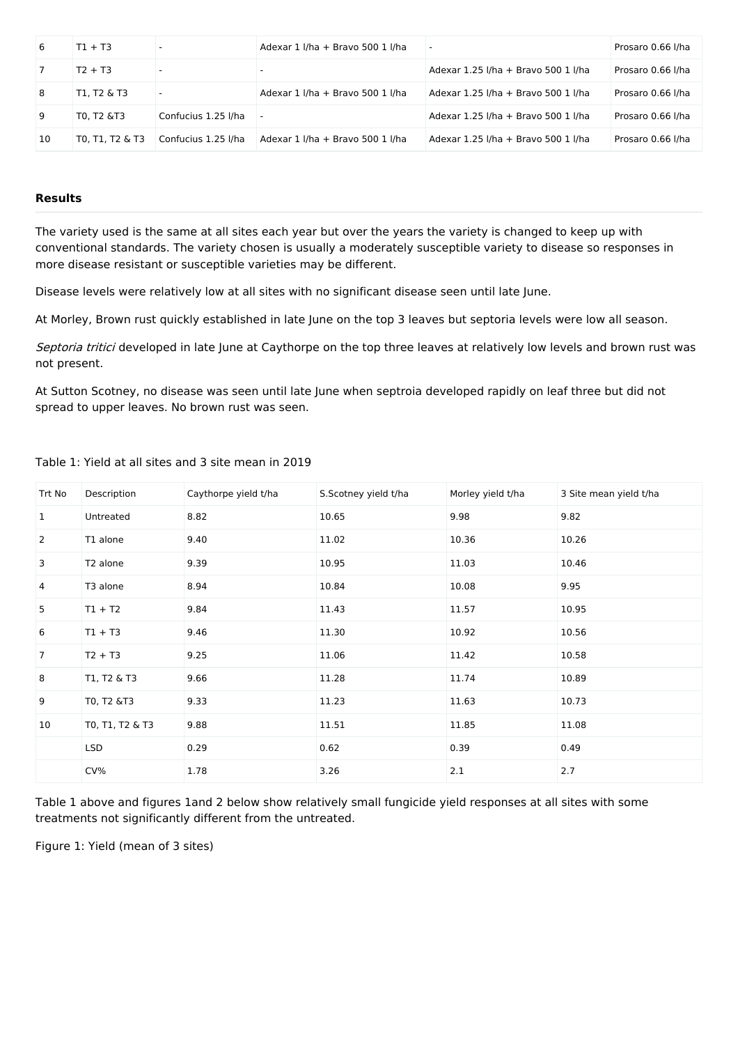| 6  | $T1 + T3$       |                     | Adexar 1 I/ha + Bravo 500 1 I/ha | $\sim$                              | Prosaro 0.66 I/ha |
|----|-----------------|---------------------|----------------------------------|-------------------------------------|-------------------|
|    | $T2 + T3$       |                     | $\overline{\phantom{0}}$         | Adexar 1.25 I/ha + Bravo 500 1 I/ha | Prosaro 0.66 I/ha |
| 8  | T1, T2 & T3     |                     | Adexar 1 I/ha + Bravo 500 1 I/ha | Adexar 1.25 I/ha + Bravo 500 1 I/ha | Prosaro 0.66 I/ha |
| -9 | T0. T2 &T3      | Confucius 1.25 I/ha |                                  | Adexar 1.25 I/ha + Bravo 500 1 I/ha | Prosaro 0.66 I/ha |
| 10 | T0, T1, T2 & T3 | Confucius 1.25 I/ha | Adexar 1 I/ha + Bravo 500 1 I/ha | Adexar 1.25 I/ha + Bravo 500 1 I/ha | Prosaro 0.66 I/ha |

#### **Results**

The variety used is the same at all sites each year but over the years the variety is changed to keep up with conventional standards. The variety chosen is usually a moderately susceptible variety to disease so responses in more disease resistant or susceptible varieties may be different.

Disease levels were relatively low at all sites with no significant disease seen until late June.

At Morley, Brown rust quickly established in late June on the top 3 leaves but septoria levels were low all season.

Septoria tritici developed in late June at Caythorpe on the top three leaves at relatively low levels and brown rust was not present.

At Sutton Scotney, no disease was seen until late June when septroia developed rapidly on leaf three but did not spread to upper leaves. No brown rust was seen.

| Trt No         | Description     | Caythorpe yield t/ha | S.Scotney yield t/ha | Morley yield t/ha | 3 Site mean yield t/ha |
|----------------|-----------------|----------------------|----------------------|-------------------|------------------------|
| 1              | Untreated       | 8.82                 | 10.65                | 9.98              | 9.82                   |
| $\overline{2}$ | T1 alone        | 9.40                 | 11.02                | 10.36             | 10.26                  |
| 3              | T2 alone        | 9.39                 | 10.95                | 11.03             | 10.46                  |
| 4              | T3 alone        | 8.94                 | 10.84                | 10.08             | 9.95                   |
| 5              | $T1 + T2$       | 9.84                 | 11.43                | 11.57             | 10.95                  |
| 6              | $T1 + T3$       | 9.46                 | 11.30                | 10.92             | 10.56                  |
| 7              | $T2 + T3$       | 9.25                 | 11.06                | 11.42             | 10.58                  |
| 8              | T1, T2 & T3     | 9.66                 | 11.28                | 11.74             | 10.89                  |
| 9              | T0, T2 &T3      | 9.33                 | 11.23                | 11.63             | 10.73                  |
| 10             | T0, T1, T2 & T3 | 9.88                 | 11.51                | 11.85             | 11.08                  |
|                | LSD             | 0.29                 | 0.62                 | 0.39              | 0.49                   |
|                | CV%             | 1.78                 | 3.26                 | 2.1               | 2.7                    |

Table 1: Yield at all sites and 3 site mean in 2019

Table 1 above and figures 1and 2 below show relatively small fungicide yield responses at all sites with some treatments not significantly different from the untreated.

Figure 1: Yield (mean of 3 sites)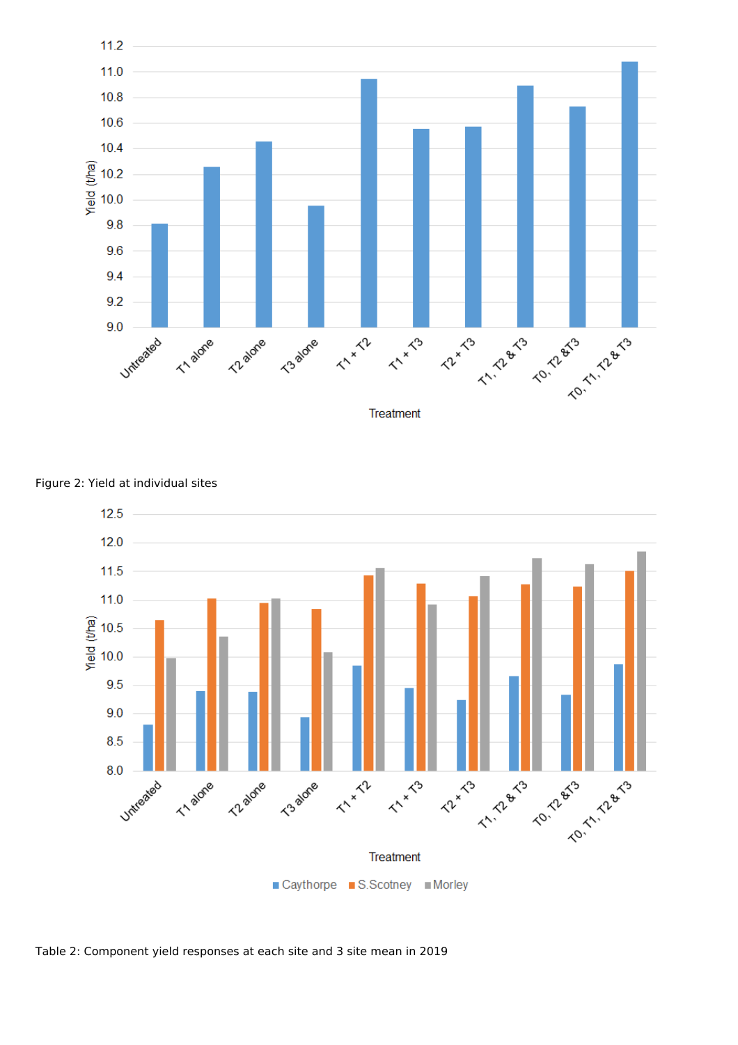



Figure 2: Yield at individual sites

Table 2: Component yield responses at each site and 3 site mean in 2019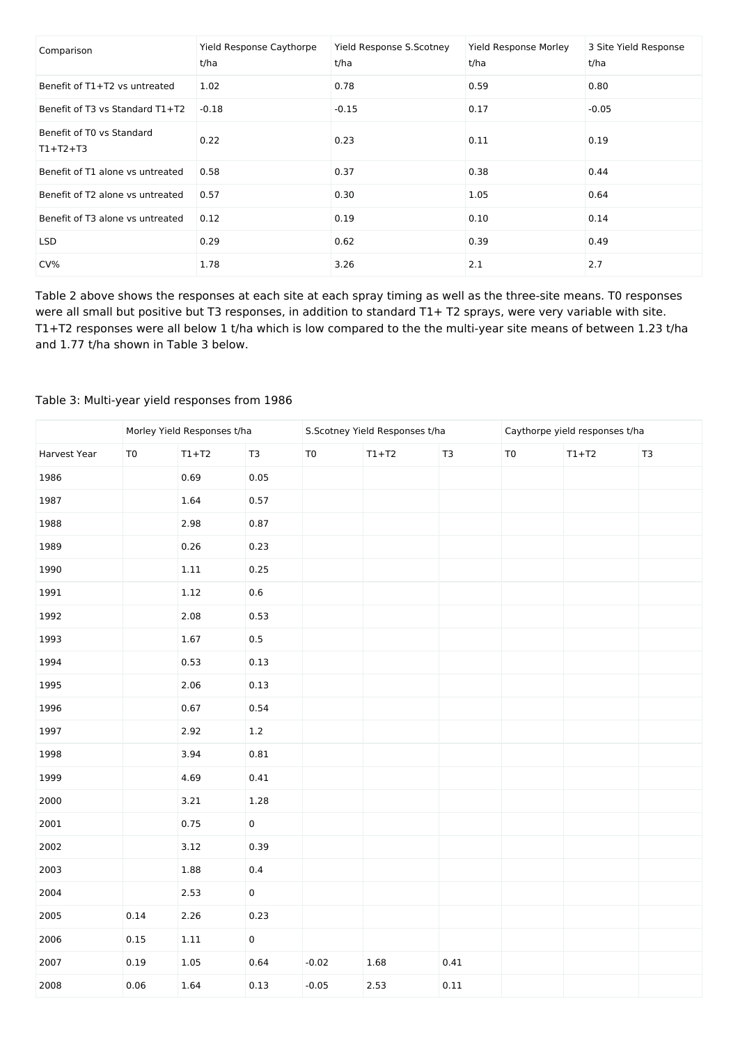| Comparison                              | Yield Response Caythorpe<br>t/ha | Yield Response S.Scotney<br>t/ha | Yield Response Morley<br>t/ha | 3 Site Yield Response<br>t/ha |
|-----------------------------------------|----------------------------------|----------------------------------|-------------------------------|-------------------------------|
| Benefit of T1+T2 vs untreated           | 1.02                             | 0.78                             | 0.59                          | 0.80                          |
| Benefit of T3 vs Standard T1+T2         | $-0.18$                          | $-0.15$                          | 0.17                          | $-0.05$                       |
| Benefit of T0 vs Standard<br>$T1+T2+T3$ | 0.22                             | 0.23                             | 0.11                          | 0.19                          |
| Benefit of T1 alone vs untreated        | 0.58                             | 0.37                             | 0.38                          | 0.44                          |
| Benefit of T2 alone vs untreated        | 0.57                             | 0.30                             | 1.05                          | 0.64                          |
| Benefit of T3 alone vs untreated        | 0.12                             | 0.19                             | 0.10                          | 0.14                          |
| LSD.                                    | 0.29                             | 0.62                             | 0.39                          | 0.49                          |
| CV%                                     | 1.78                             | 3.26                             | 2.1                           | 2.7                           |

Table 2 above shows the responses at each site at each spray timing as well as the three-site means. T0 responses were all small but positive but T3 responses, in addition to standard T1+ T2 sprays, were very variable with site. T1+T2 responses were all below 1 t/ha which is low compared to the the multi-year site means of between 1.23 t/ha and 1.77 t/ha shown in Table 3 below.

# Table 3: Multi-year yield responses from 1986

|              | Morley Yield Responses t/ha |          |                |                | S.Scotney Yield Responses t/ha |                | Caythorpe yield responses t/ha |         |               |
|--------------|-----------------------------|----------|----------------|----------------|--------------------------------|----------------|--------------------------------|---------|---------------|
| Harvest Year | T <sub>0</sub>              | $T1+T2$  | T <sub>3</sub> | T <sub>0</sub> | $T1+T2$                        | T <sub>3</sub> | T <sub>0</sub>                 | $T1+T2$ | $\mathsf{T3}$ |
| 1986         |                             | 0.69     | 0.05           |                |                                |                |                                |         |               |
| 1987         |                             | 1.64     | 0.57           |                |                                |                |                                |         |               |
| 1988         |                             | 2.98     | 0.87           |                |                                |                |                                |         |               |
| 1989         |                             | 0.26     | 0.23           |                |                                |                |                                |         |               |
| 1990         |                             | $1.11\,$ | 0.25           |                |                                |                |                                |         |               |
| 1991         |                             | 1.12     | $0.6\,$        |                |                                |                |                                |         |               |
| 1992         |                             | 2.08     | 0.53           |                |                                |                |                                |         |               |
| 1993         |                             | 1.67     | 0.5            |                |                                |                |                                |         |               |
| 1994         |                             | 0.53     | 0.13           |                |                                |                |                                |         |               |
| 1995         |                             | 2.06     | 0.13           |                |                                |                |                                |         |               |
| 1996         |                             | 0.67     | 0.54           |                |                                |                |                                |         |               |
| 1997         |                             | 2.92     | $1.2\,$        |                |                                |                |                                |         |               |
| 1998         |                             | 3.94     | 0.81           |                |                                |                |                                |         |               |
| 1999         |                             | 4.69     | 0.41           |                |                                |                |                                |         |               |
| 2000         |                             | 3.21     | $1.28\,$       |                |                                |                |                                |         |               |
| 2001         |                             | 0.75     | $\pmb{0}$      |                |                                |                |                                |         |               |
| 2002         |                             | 3.12     | 0.39           |                |                                |                |                                |         |               |
| 2003         |                             | 1.88     | $0.4\,$        |                |                                |                |                                |         |               |
| 2004         |                             | 2.53     | $\pmb{0}$      |                |                                |                |                                |         |               |
| 2005         | 0.14                        | 2.26     | 0.23           |                |                                |                |                                |         |               |
| 2006         | 0.15                        | $1.11\,$ | $\pmb{0}$      |                |                                |                |                                |         |               |
| 2007         | 0.19                        | $1.05\,$ | 0.64           | $-0.02$        | 1.68                           | $0.41\,$       |                                |         |               |
| 2008         | 0.06                        | 1.64     | 0.13           | $-0.05$        | 2.53                           | 0.11           |                                |         |               |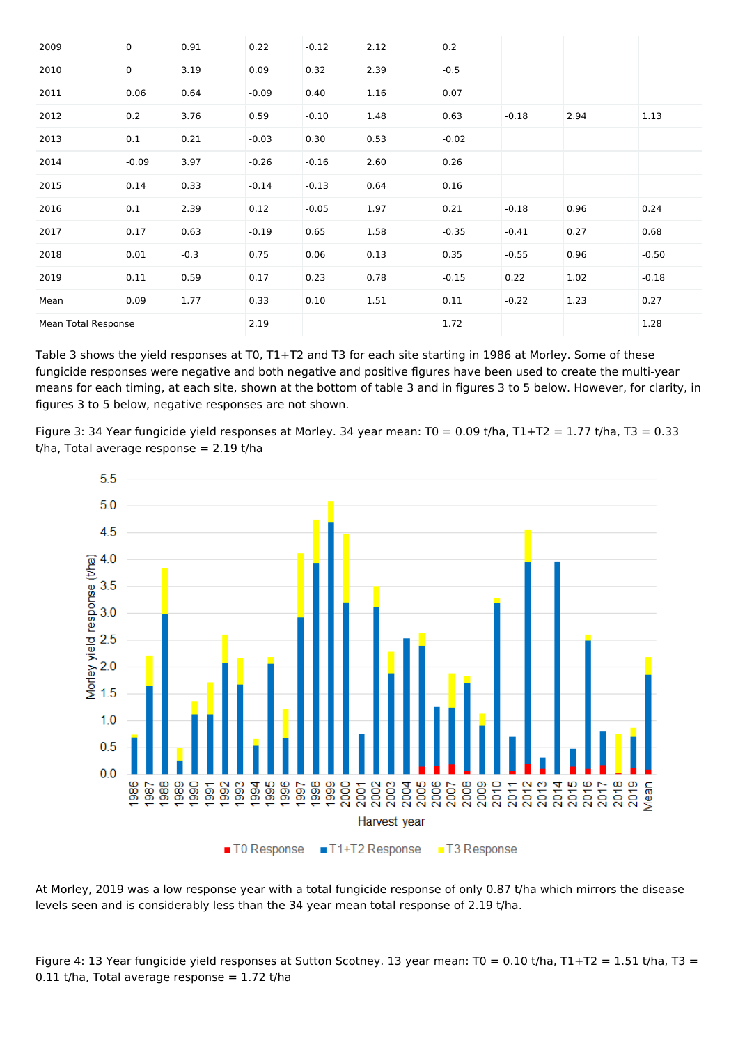| 2009                | $\mathsf 0$ | 0.91   | 0.22    | $-0.12$ | 2.12 | 0.2     |         |      |         |
|---------------------|-------------|--------|---------|---------|------|---------|---------|------|---------|
| 2010                | $\mathsf 0$ | 3.19   | 0.09    | 0.32    | 2.39 | $-0.5$  |         |      |         |
| 2011                | 0.06        | 0.64   | $-0.09$ | 0.40    | 1.16 | 0.07    |         |      |         |
| 2012                | 0.2         | 3.76   | 0.59    | $-0.10$ | 1.48 | 0.63    | $-0.18$ | 2.94 | 1.13    |
| 2013                | 0.1         | 0.21   | $-0.03$ | 0.30    | 0.53 | $-0.02$ |         |      |         |
| 2014                | $-0.09$     | 3.97   | $-0.26$ | $-0.16$ | 2.60 | 0.26    |         |      |         |
| 2015                | 0.14        | 0.33   | $-0.14$ | $-0.13$ | 0.64 | 0.16    |         |      |         |
| 2016                | 0.1         | 2.39   | 0.12    | $-0.05$ | 1.97 | 0.21    | $-0.18$ | 0.96 | 0.24    |
| 2017                | 0.17        | 0.63   | $-0.19$ | 0.65    | 1.58 | $-0.35$ | $-0.41$ | 0.27 | 0.68    |
| 2018                | 0.01        | $-0.3$ | 0.75    | 0.06    | 0.13 | 0.35    | $-0.55$ | 0.96 | $-0.50$ |
| 2019                | 0.11        | 0.59   | 0.17    | 0.23    | 0.78 | $-0.15$ | 0.22    | 1.02 | $-0.18$ |
| Mean                | 0.09        | 1.77   | 0.33    | 0.10    | 1.51 | 0.11    | $-0.22$ | 1.23 | 0.27    |
| Mean Total Response |             |        | 2.19    |         |      | 1.72    |         |      | 1.28    |

Table 3 shows the yield responses at T0, T1+T2 and T3 for each site starting in 1986 at Morley. Some of these fungicide responses were negative and both negative and positive figures have been used to create the multi-year means for each timing, at each site, shown at the bottom of table 3 and in figures 3 to 5 below. However, for clarity, in figures 3 to 5 below, negative responses are not shown.

Figure 3: 34 Year fungicide yield responses at Morley. 34 year mean: T0 = 0.09 t/ha, T1+T2 = 1.77 t/ha, T3 = 0.33  $t/ha$ , Total average response = 2.19  $t/ha$ 



At Morley, 2019 was a low response year with a total fungicide response of only 0.87 t/ha which mirrors the disease levels seen and is considerably less than the 34 year mean total response of 2.19 t/ha.

Figure 4: 13 Year fungicide yield responses at Sutton Scotney. 13 year mean: T0 = 0.10 t/ha, T1+T2 = 1.51 t/ha, T3 =  $0.11$  t/ha, Total average response = 1.72 t/ha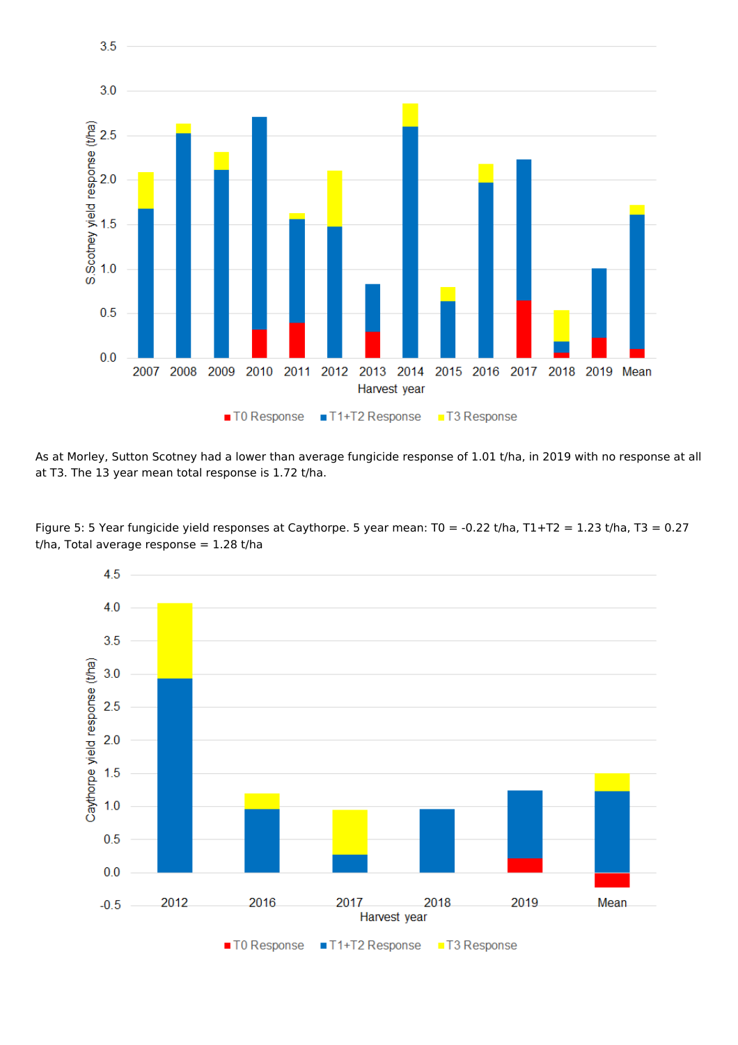

As at Morley, Sutton Scotney had a lower than average fungicide response of 1.01 t/ha, in 2019 with no response at all at T3. The 13 year mean total response is 1.72 t/ha.